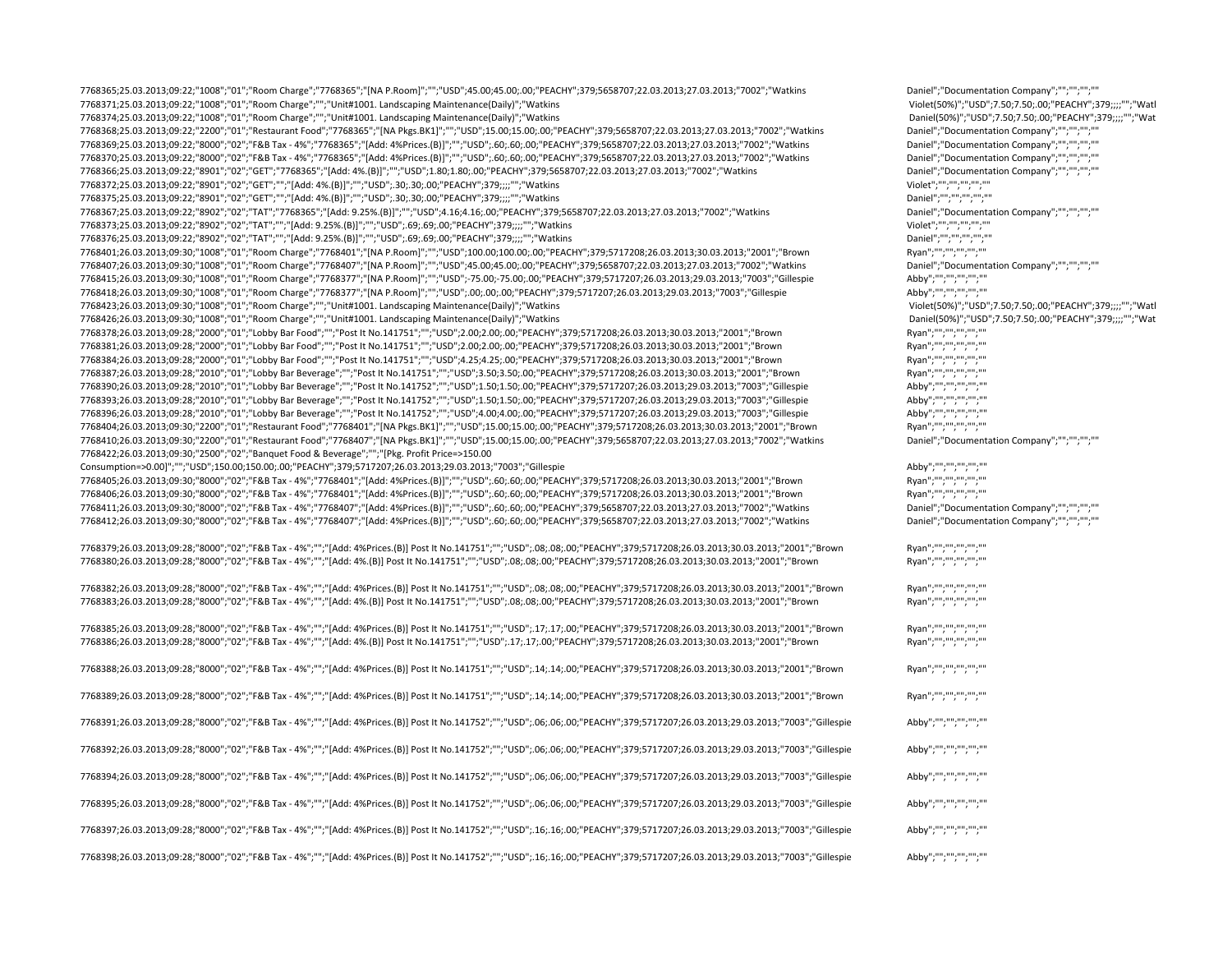| 7768365;25.03.2013;09:22;"1008";"01";"Room Charge";"7768365";"[NA P.Room]";"";"USD";45.00;45.00;.00;"PEACHY";379;5658707;22.03.2013;27.03.2013;27.03.2013;"7002";"Watkins<br>7768371;25.03.2013;09:22;"1008";"01";"Room Charge";"";"Unit#1001. Landscaping Maintenance(Daily)";"Watkins | Daniel";"Documentation Company";"";"";"";""<br>Violet(50%)";"USD";7.50;7.50;.00;"PEACHY";379;;;;"";"Watl |
|-----------------------------------------------------------------------------------------------------------------------------------------------------------------------------------------------------------------------------------------------------------------------------------------|----------------------------------------------------------------------------------------------------------|
| 7768374;25.03.2013;09:22;"1008";"01";"Room Charge";"";"Unit#1001. Landscaping Maintenance(Daily)";"Watkins                                                                                                                                                                              | Daniel(50%)";"USD";7.50;7.50;.00;"PEACHY";379;;;;"";"Wat                                                 |
| 7768368;25.03.2013;09:22;"2200";"01";"Restaurant Food";"7768365";"[NA Pkgs.BK1]";"";"USD";15.00;15.00;.00;"PEACHY";379;5658707;22.03.2013;27.03.2013;"7002";"Watkins                                                                                                                    | Daniel";"Documentation Company";"";"";"";"";""                                                           |
| 7768369;25.03.2013;09:22;"8000";"02";"F&B Tax - 4%";"7768365";"[Add: 4%Prices.(B)]";"";"USD";.60;.60;.00;"PEACHY";379;5658707;22.03.2013;27.03.2013;"7002";"Watkins                                                                                                                     | Daniel";"Documentation Company";"";"";"";"";""                                                           |
| 7768370;25.03.2013;09:22;"8000";"02";"F&B Tax - 4%";"7768365";"[Add: 4%Prices.(B)]";"";"USD";.60;.60;.00;"PEACHY";379;5658707;22.03.2013;27.03.2013;27.03.2013;"7002";"Watkins                                                                                                          | Daniel";"Documentation Company";"";"";"";"";""                                                           |
| 7768366;25.03.2013;09:22;"8901";"02";"GET";"7768365";"[Add: 4%.(B)]";"";"USD";1.80;1.80;1.90;"PEACHY";379;5658707;22.03.2013;27.03.2013;"7002";"Watkins                                                                                                                                 | Daniel";"Documentation Company";"";"";"";""                                                              |
| 7768372;25.03.2013;09:22;"8901";"02";"GET";"";"[Add: 4%.(B)]";"";"USD";.30;.30;.00;"PEACHY";379;;;;"";"Watkins                                                                                                                                                                          | Violet";"";"";"";"";""                                                                                   |
| 7768375;25.03.2013;09:22;"8901";"02";"GET";"";"[Add: 4%.(B)]";"";"USD";.30;.30;.00;"PEACHY";379;;;;"";"Watkins                                                                                                                                                                          | Daniel";"";"";"";"";""                                                                                   |
|                                                                                                                                                                                                                                                                                         | Daniel";"Documentation Company";"";"";"";""                                                              |
| 7768367;25.03.2013;09:22;"8902";"02";"TAT";"7768365";"[Add: 9.25%.(B)]";"";"USD";4.16;4.16;.00;"PEACHY";379;5658707;22.03.2013;27.03.2013;27.03.2013;"7002";"Watkins                                                                                                                    | Violet";"";"";"";"";""                                                                                   |
| 7768373;25.03.2013;09:22;"8902";"02";"TAT";"";"[Add: 9.25%.(B)]";"";"USD";.69;.69;.00;"PEACHY";379;;;;"";"Watkins                                                                                                                                                                       |                                                                                                          |
| 7768376;25.03.2013;09:22;"8902";"02";"TAT";"";"[Add: 9.25%.(B)]";"";"USD";.69;.69;.00;"PEACHY";379;;;;"";"Watkins                                                                                                                                                                       | Daniel";"";"";"";"";""                                                                                   |
| 7768401;26.03.2013;09:30;"1008";"01";"Room Charge";"7768401";"[NA P.Room]";"";"USD";100.00;100.00;.00;"PEACHY";379;5717208;26.03.2013;30.03.2013;"2001";"Brown                                                                                                                          | Ryan";"";"";"";"";""                                                                                     |
| 7768407;26.03.2013;09:30;"1008";"01";"Room Charge";"7768407";"[NA P.Room]";"";"USD";45.00;45.00;.00;"PEACHY";379;5658707;22.03.2013;27.03.2013;27.03.2013;"7002";"Watkins                                                                                                               | Daniel";"Documentation Company";"";"";"";"";""                                                           |
| 7768415;26.03.2013;09:30;"1008";"01";"Room Charge";"7768377";"[NA P.Room]";"";"USD";-75.00;-75.00;.00;"PEACHY";379;5717207;26.03.2013;29.03.2013;"7003";"Gillespie                                                                                                                      | Abby";"";"";"";"";""                                                                                     |
| 7768418;26.03.2013;09:30;"1008";"01";"Room Charge";"7768377";"[NA P.Room]";"";"USD";.00;.00;"00;"PEACHY";379;5717207;26.03.2013;29.03.2013;"7003";"Gillespie                                                                                                                            | Abby";"";"";"";"";""                                                                                     |
| 7768423;26.03.2013;09:30;"1008";"01";"Room Charge";"";"Unit#1001. Landscaping Maintenance(Daily)";"Watkins                                                                                                                                                                              | Violet(50%)";"USD";7.50;7.50;.00;"PEACHY";379;;;;"";"Watl                                                |
| 7768426;26.03.2013;09:30;"1008";"01";"Room Charge";"";"Unit#1001. Landscaping Maintenance(Daily)";"Watkins                                                                                                                                                                              | Daniel(50%)";"USD";7.50;7.50;.00;"PEACHY";379;;;;"";"Wat                                                 |
| 7768378;26.03.2013;09:28;"2000";"01";"Lobby Bar Food";"";"Post It No.141751";"";"USD";2.00;2.00;2.00;"PEACHY";379;5717208;26.03.2013;30.03.2013;"2001";"Brown                                                                                                                           | Ryan";"";"";"";"";""                                                                                     |
| 7768381;26.03.2013;09:28;"2000";"01";"Lobby Bar Food";"";"Post It No.141751";"";"USD";2.00;2.00;.00;"PEACHY";379;5717208;26.03.2013;30.03.2013;"2001";"Brown                                                                                                                            | Ryan";"";"";"";"";""                                                                                     |
| 7768384;26.03.2013;09:28;"2000";"01";"Lobby Bar Food";"";"Post It No.141751";"";"USD";4.25;4.25;00;"PEACHY";379;5717208;26.03.2013;30.03.2013;"2001";"Brown                                                                                                                             | Ryan";"";"";"";"";""                                                                                     |
| 7768387;26.03.2013;09:28;"2010";"01";"Lobby Bar Beverage";"";"Post It No.141751";"";"USD";3.50;3.50;.00;"PEACHY";379;5717208;26.03.2013;30.03.2013;"2001";"Brown                                                                                                                        | Ryan";"";"";"";"";""                                                                                     |
| 7768390;26.03.2013;09:28;"2010";"01";"Lobby Bar Beverage";"";"Post It No.141752";"";"USD";1.50;1.50;1.50;00;"PEACHY";379;5717207;26.03.2013;29.03.2013;29.03.2013;"7003";"Gillespie                                                                                                     | Abby";"";"";"";"";""                                                                                     |
| 7768393;26.03.2013;09:28;"2010";"01";"Lobby Bar Beverage";"";"Post It No.141752";"";"USD";1.50;.1.50;.00;"PEACHY";379;5717207;26.03.2013;29.03.2013;"7003";"Gillespie                                                                                                                   | Abby";"";"";"";"";""                                                                                     |
| 7768396;26.03.2013;09:28;"2010";"01";"Lobby Bar Beverage";"";"Post It No.141752";"";"USD";4.00;4.00;4.00;400";"PEACHY";379;5717207;26.03.2013;29.03.2013;"7003";"Gillespie                                                                                                              | Abby";"";"";"";"";""                                                                                     |
| 7768404;26.03.2013;09:30;"2200";"01";"Restaurant Food";"7768401";"[NA Pkgs.BK1]";"";"USD";15.00;15.00;00;"PEACHY";379;5717208;26.03.2013;30.03.2013;"2001";"Brown                                                                                                                       | Ryan";"";"";"";"";""                                                                                     |
| 7768410;26.03.2013;09:30;"2200";"01";"Restaurant Food";"7768407";"[NA Pkgs.BK1]";"";"USD";15.00;15.00;.00;"PEACHY";379;5658707;22.03.2013;27.03.2013;27.03.2013;"7002";"Watkins                                                                                                         | Daniel";"Documentation Company";"";"";"";"";""                                                           |
| 7768422;26.03.2013;09:30;"2500";"02";"Banquet Food & Beverage";"";"[Pkg. Profit Price=>150.00                                                                                                                                                                                           |                                                                                                          |
| Consumption=>0.00]";"";"USD";150.00;150.00;.00;"PEACHY";379;5717207;26.03.2013;29.03.2013;"7003";"Gillespie                                                                                                                                                                             | Abby";"";"";"";"";""                                                                                     |
| 7768405;26.03.2013;09:30;"8000";"02";"F&B Tax - 4%";"7768401";"[Add: 4%Prices.(B)]";"";,"USD";.60;.60;.00;"PEACHY";379;5717208;26.03.2013;20.03.2013;"2001";"Brown                                                                                                                      | Ryan";"";"";"";"";""                                                                                     |
| 7768406;26.03.2013;09:30;"8000";"02";"F&B Tax - 4%";"7768401";"[Add: 4%Prices.(B)]";"";"USD";.60;.60;.00;"PEACHY";379;5717208;26.03.2013;30.03.2013;"2001";"Brown                                                                                                                       | Ryan";"";"";"";"";""                                                                                     |
| 7768411;26.03.2013;09:30;"8000";"02";"F&B Tax - 4%";"7768407";"[Add: 4%Prices.(B)]";"";"USD";.60;.60;.00;"PEACHY";379;5658707;22.03.2013;27.03.2013;"7002";"Watkins                                                                                                                     | Daniel";"Documentation Company";"";"";"";""                                                              |
| 7768412;26.03.2013;09:30;"8000";"02";"F&B Tax - 4%";"7768407";"[Add: 4%Prices.(B)]";"";"USD";.60;.60;.00;"PEACHY";379;5658707;22.03.2013;27.03.2013;"7002";"Watkins                                                                                                                     | Daniel";"Documentation Company";"";"";"";"";""                                                           |
|                                                                                                                                                                                                                                                                                         |                                                                                                          |
| 7768379;26.03.2013;09:28;"8000";"02";"F&B Tax - 4%";"";"[Add: 4%Prices.(B)] Post It No.141751";"";"USD";.08;.08;.00;"PEACHY";379;5717208;26.03.2013;30.03.2013;"2001";"Brown                                                                                                            | Ryan";"";"";"";"";""                                                                                     |
| 7768380;26.03.2013;09:28;"8000";"02";"F&B Tax - 4%";"";"[Add: 4%.(B)] Post It No.141751";"";"USD";.08;.08;.00;"PEACHY";379;5717208;26.03.2013;30.03.2013;"2001";"Brown                                                                                                                  | Ryan";"";"";"";"";""                                                                                     |
|                                                                                                                                                                                                                                                                                         |                                                                                                          |
| 7768382;26.03.2013;09:28;"8000";"02";"F&B Tax - 4%";"";"[Add: 4%Prices.(B)] Post It No.141751";"";"USD";.08;.08;.00;"PEACHY";379;5717208;26.03.2013;30.03.2013;"2001";"Brown                                                                                                            | Ryan";"";"";"";"";""                                                                                     |
| 7768383;26.03.2013;09:28;"8000";"02";"F&B Tax - 4%";"";"[Add: 4%.(B)] Post It No.141751";"";"USD";.08;.08;.00;"PEACHY";379;5717208;26.03.2013;20.03.2013;"2001";"Brown                                                                                                                  | Ryan";"";"";"";"";""                                                                                     |
|                                                                                                                                                                                                                                                                                         |                                                                                                          |
| 7768385;26.03.2013;09:28;"8000";"02";"F&B Tax - 4%";"";"[Add: 4%Prices.(B)] Post It No.141751";"";"USD";.17;.17;.00;"PEACHY";379;5717208;26.03.2013;30.03.2013;"2001";"Brown                                                                                                            | Ryan";"";"";"";"";"";""                                                                                  |
| 7768386;26.03.2013;09:28;"8000";"02";"F&B Tax - 4%";"";"[Add: 4%.(B)] Post It No.141751";"";"USD";.17;.17;.00;"PEACHY";379;5717208;26.03.2013;30.03.2013;"2001";"Brown                                                                                                                  | Ryan";"";"";"";"";""                                                                                     |
|                                                                                                                                                                                                                                                                                         |                                                                                                          |
| 7768388;26.03.2013;09:28;"8000";"O2";"F&B Tax - 4%";"";"[Add: 4%Prices.(B)] Post It No.141751";"";"USD";.14;.14;.00;"PEACHY";379;5717208;26.03.2013;20.03.2013;"2001";"Brown                                                                                                            | Ryan";"";"";"";"";""                                                                                     |
|                                                                                                                                                                                                                                                                                         |                                                                                                          |
| 7768389;26.03.2013;09:28;"8000";"02";"F&B Tax - 4%";"";"[Add: 4%Prices.(B)] Post It No.141751";"";"USD";.14;.14;.00;"PEACHY";379;5717208;26.03.2013;30.03.2013;"2001";"Brown                                                                                                            | Ryan";"";"";"";"";""                                                                                     |
|                                                                                                                                                                                                                                                                                         |                                                                                                          |
| 7768391;26.03.2013;09:28;"8000";"02";"F&B Tax - 4%";"";"[Add: 4%Prices.(B)] Post It No.141752";"";"USD";.06;.06;.00;"PEACHY";379;5717207;26.03.2013;29.03.2013;"7003";"Gillespie                                                                                                        | Abby";"";"";"";"";""                                                                                     |
|                                                                                                                                                                                                                                                                                         |                                                                                                          |
| 7768392;26.03.2013;09:28;"8000";"02";"F&B Tax - 4%";"";"[Add: 4%Prices.(B)] Post It No.141752";"";"USD";.06;.06;.00;"PEACHY";379;5717207;26.03.2013;29.03.2013;"7003";"Gillespie                                                                                                        | Abby";"";"";"";"";""                                                                                     |
|                                                                                                                                                                                                                                                                                         |                                                                                                          |
| 7768394;26.03.2013;09:28;"8000";"02";"F&B Tax - 4%";"";"[Add: 4%Prices.(B)] Post It No.141752";"";"USD";.06;.06;.00;"PEACHY";379;5717207;26.03.2013;29.03.2013;"7003";"Gillespie                                                                                                        | Abby";"";"";"";"";""                                                                                     |
|                                                                                                                                                                                                                                                                                         |                                                                                                          |
| 7768395;26.03.2013;09:28;"8000";"O2";"F&B Tax - 4%";"";"[Add: 4%Prices.(B)] Post It No.141752";"";"USD";.06;.06;.00;"PEACHY";379;5717207;26.03.2013;29.03.2013;"7003";"Gillespie                                                                                                        | Abby";"";"";"";"";""                                                                                     |
|                                                                                                                                                                                                                                                                                         |                                                                                                          |
| 7768397;26.03.2013;09:28;"8000";"O2";"F&B Tax - 4%";"";"[Add: 4%Prices.(B)] Post It No.141752";"";"USD";.16;.16;.00;"PEACHY";379;5717207;26.03.2013;29.03.2013;"7003";"Gillespie                                                                                                        | Abby";"";"";"";"";""                                                                                     |
|                                                                                                                                                                                                                                                                                         |                                                                                                          |
| 7768398;26.03.2013;09:28;"8000";"02";"F&B Tax - 4%";"";"[Add: 4%Prices.(B)] Post It No.141752";"";"JSD";.16;.16;.00;"PEACHY";379;5717207;26.03.2013;29.03.2013;"7003";"Gillespie                                                                                                        | Abby";"":"":"":"":""""                                                                                   |
|                                                                                                                                                                                                                                                                                         |                                                                                                          |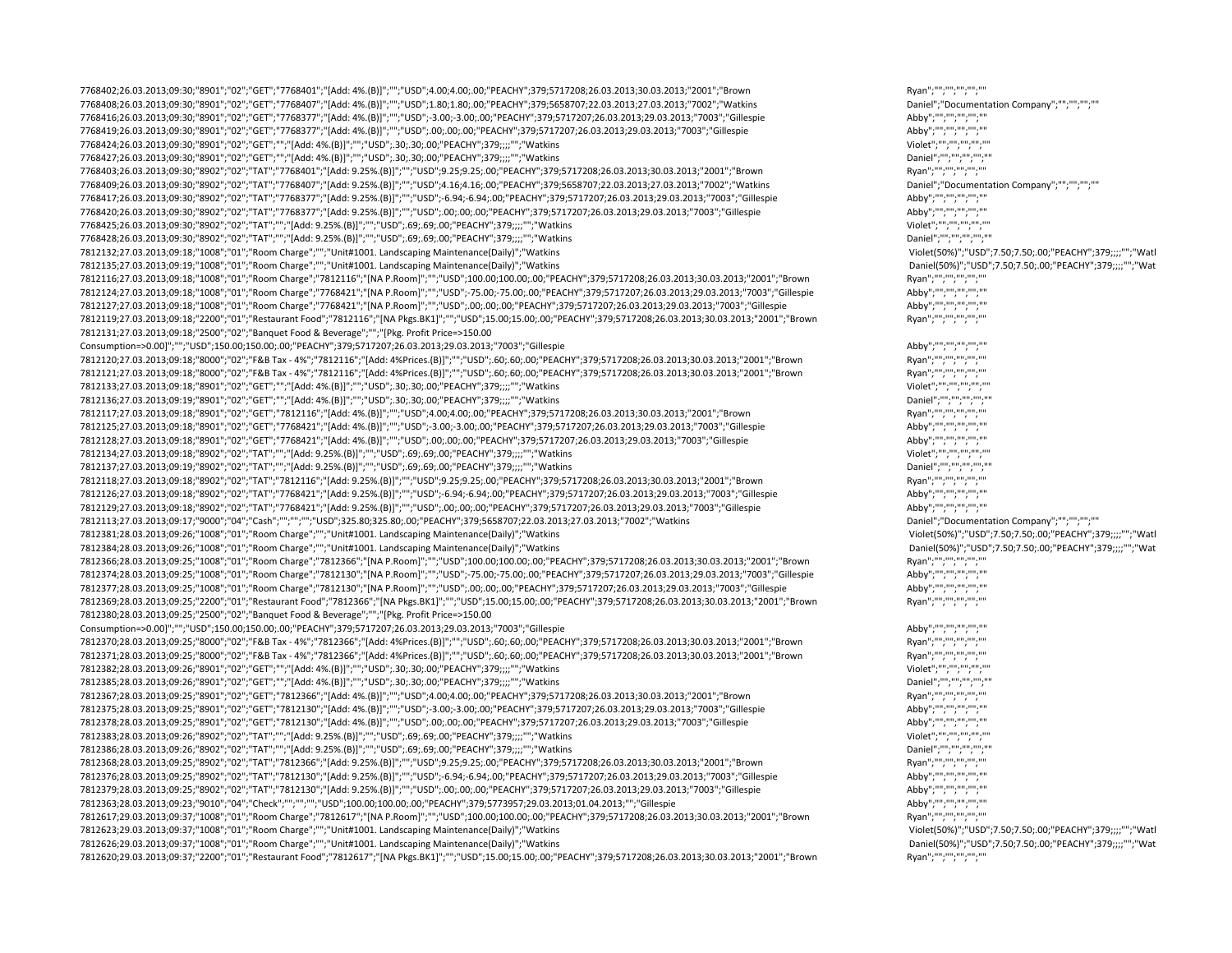7768402;26.03.2013;09:30;"8901";"02";"GET";"7768401";"[Add: 4%.(B)]";"";"USD";4.00;4.00;.00;"PEACHY";379;5717208;26.03.2013;30.03.2013;"2001";"Brown Ryan";"";"";"";"";"" 7768408;26.03.2013;09:30;"8901";"02";"GET";"7768407";"[Add: 4%.(B)]";"";"USD";1.80;1.80;.00;"PEACHY";379;5658707;22.03.2013;27.03.2013;"7002";"Watkins Daniel";"Documentation Company";"";"";"";"" 7768416;26.03.2013;09:30;"8901";"02";"GET";"7768377";"[Add: 4%.(B)]";"";"USD";‐3.00;‐3.00;.00;"PEACHY";379;5717207;26.03.2013;29.03.2013;"7003";"Gillespie Abby";"";"";"";"";"" 7768419;26.03.2013;09:30;"8901";"02";"GET";"7768377";"[Add: 4%.(B)]";"";"USD";.00;.00;.00;"PEACHY";379;5717207;26.03.2013;29.03.2013;"7003";"Gillespie Abby";"";"";"";"";"" 7768424;26.03.2013;09:30;"8901";"02";"GET";"";"[Add: 4%.(B)]";"";"USD";.30;.30;.00;"PEACHY";379;;;;"";"Watkins Violet";"";"";"";"";"" 7768427;26.03.2013;09:30;"8901";"02";"GET";"";"[Add: 4%.(B)]";"";"USD";.30;.30;.00;"PEACHY";379;;;;"";"Watkins Daniel";"";"";"";"";"" 7768403;26.03.2013;09:30;"8902";"02";"TAT";"7768401";"[Add: 9.25%.(B)]";"";"USD";9.25;9.25;.00;"PEACHY";379;5717208;26.03.2013;30.03.2013;"2001";"Brown Ryan";"";"";"";"";"" 7768409;26.03.2013;09:30;"8902";"02";"TAT";"7768407";"[Add: 9.25%.(B)]";"";"USD";4.16;4.16;.00;"PEACHY";379;5658707;22.03.2013;27.03.2013;"7002";"Watkins Daniel";"Documentation Company";"";"";"";"" 7768417;26.03.2013;09:30;"8902";"02";"TAT";"7768377";"[Add: 9.25%.(B)]";"";"USD";‐6.94;‐6.94;.00;"PEACHY";379;5717207;26.03.2013;29.03.2013;"7003";"Gillespie Abby";"";"";"";"";"" 7768420;26.03.2013;09:30;"8902";"02";"TAT";"7768377";"[Add: 9.25%.(B)]";"";"USD";.00;.00;.00;"PEACHY";379;5717207;26.03.2013;29.03.2013;"7003";"Gillespie Abby";"";"";"";"";"" 7768425;26.03.2013;09:30;"8902";"02";"TAT";"";"[Add: 9.25%.(B)]";"";"USD";.69;.69;.00;"PEACHY";379;;;;;"";"Watkins 7768428;26.03.2013;09:30;"8902";"02";"TAT";"";"[Add: 9.25%.(B)]";"";"USD";.69;.69;.00;"PEACHY";379;;;;"";"Watkins Daniel";"";"";"";"";"" 7812132;27.03.2013;09:18;"1008";"01";"Room Charge";"";"Unit#1001. Landscaping Maintenance(Daily)";"Watkins Violet(50%)";"USD";7.50;7.50;.00;"PEACHY";379;;;;"";"Watk 7812135;27.03.2013;09:19;"1008";"01";"Room Charge";"";"Unit#1001. Landscaping Maintenance(Daily)";"Watkins Daniel(50%)";"USD";7.50;7.50;.00;"PEACHY";379;;;;"";"Wat 7812116;27.03.2013;09:18;"1008";"01";"Room Charge";"7812116";"[NA P.Room]";"";"USD";100.00;100.00;.00;"PEACHY";379;5717208;26.03.2013;30.03.2013;"2001";"Brown Ryan";"";"";"";"";"" 7812124;27.03.2013;09:18;"1008";"01";"Room Charge";"7768421";"[NA P.Room]";"";"USD";‐75.00;‐75.00;.00;"PEACHY";379;5717207;26.03.2013;29.03.2013;"7003";"Gillespie Abby";"";"";"";"";"" 7812127;27.03.2013;09:18;"1008";"01";"Room Charge";"7768421";"[NA P.Room]";"";"USD";.00;.00;.00;"PEACHY";379;5717207;26.03.2013;29.03.2013;"7003";"Gillespie Abby";"";"";"";"";"" 7812119;27.03.2013;09:18;"2200";"01";"Restaurant Food";"7812116";"[NA Pkgs.BK1]";"";"USD";15.00;15.00;.00;"PEACHY";379;5717208;26.03.2013;30.03.2013;"2001";"Brown Ryan";"";"";"";"";"" 7812131;27.03.2013;09:18;"2500";"02";"Banquet Food & Beverage";"";"[Pkg. Profit Price=>150.00 Consumption=>0.00]";"";"USD";150.00;150.00;.00;"PEACHY";379;5717207;26.03.2013;29.03.2013;"7003";"Gillespie Abby";"";"";"";"";"" 7812120;27.03.2013;09:18;"8000";"02";"F&B Tax ‐ 4%";"7812116";"[Add: 4%Prices.(B)]";"";"USD";.60;.60;.00;"PEACHY";379;5717208;26.03.2013;30.03.2013;"2001";"Brown Ryan";"";"";"";"";"" 7812121;27.03.2013;09:18;"8000";"02";"F&B Tax ‐ 4%";"7812116";"[Add: 4%Prices.(B)]";"";"USD";.60;.60;.00;"PEACHY";379;5717208;26.03.2013;30.03.2013;"2001";"Brown Ryan";"";"";"";"";"" 7812133;27.03.2013;09:18;"8901";"02";"GET";"";"[Add: 4%.(B)]";"";"USD";.30;.30;.00;"PEACHY";379;;;;"";"Watkins Violet";"";"";"";"";"" 7812136;27.03.2013;09:19;"8901";"02";"GET";"";"[Add: 4%.(B)]";"";"USD";.30;.30;.00;"PEACHY";379;;;;"";"Watkins Daniel";"";"";"";"";"" 7812117;27.03.2013;09:18;"8901";"02";"GET";"7812116";"[Add: 4%.(B)]";"";"USD";4.00;4.00;.00;"PEACHY";379;5717208;26.03.2013;30.03.2013;"2001";"Brown Ryan";"";"";"";"";"" 7812125;27.03.2013;09:18;"8901";"02";"GET";"7768421";"[Add: 4%.(B)]";"";"USD";‐3.00;‐3.00;.00;"PEACHY";379;5717207;26.03.2013;29.03.2013;"7003";"Gillespie Abby";"";"";"";"";"" 7812128;27.03.2013;09:18;"8901";"02";"GET";"7768421";"[Add: 4%.(B)]";"";"USD";.00;.00;.00;"PEACHY";379;5717207;26.03.2013;29.03.2013;"7003";"Gillespie Abby";"";"";"";"";"" 7812134;27.03.2013;09:18;"8902";"02";"TAT";"";"[Add: 9.25%.(B)]";"";"USD";.69;.69;.00;"PEACHY";379;;;;"";"Watkins Violet";"";"";"";"";"" 7812137;27.03.2013;09:19;"8902";"02";"TAT";"";"[Add: 9.25%.(B)]";"";"USD";.69;.69;.00;"PEACHY";379;;;;"";"Watkins Daniel";"";"";"";"";"" 7812118;27.03.2013;09:18;"8902";"02";"TAT";"7812116";"[Add: 9.25%.(B)]";"";"USD";9.25;9.25;.00;"PEACHY";379;5717208;26.03.2013;30.03.2013;"2001";"Brown Ryan";"";"";"";"";"" 7812126;27.03.2013;09:18;"8902";"02";"TAT";"7768421";"[Add: 9.25%.(B)]";"";"USD";‐6.94;‐6.94;.00;"PEACHY";379;5717207;26.03.2013;29.03.2013;"7003";"Gillespie Abby";"";"";"";"";"" 7812129;27.03.2013;09:18;"8902";"02";"TAT";"7768421";"[Add: 9.25%.(B)]";"";"USD";.00;.00;.00;"PEACHY";379;5717207;26.03.2013;29.03.2013;"7003";"Gillespie Abby";"";"";"";"";"" 7812113;27.03.2013;09:17;"9000";"04";"Cash";"";"";"";"USD";325.80;325.80;.00;"PEACHY";379;5658707;22.03.2013;27.03.2013;"7002";"Watkins Daniel";"Documentation Company";"";"";"";"" 7812381;28.03.2013;09:26;"1008";"01";"Room Charge";"";"Unit#1001. Landscaping Maintenance(Daily)";"Watkins Violet(50%)";"USD";7.50;7.50;.00;"PEACHY";379;;;;"";"Watk 7812384;28.03.2013;09:26;"1008";"01";"Room Charge";"";"Unit#1001. Landscaping Maintenance(Daily)";"Watkins Daniel(50%)";"USD";7.50;7.50;.00;"PEACHY";379;;;;"";"Wat 7812366;28.03.2013;09:25;"1008";"01";"Room Charge";"7812366";"[NA P.Room]";"";"USD";100.00;100.00;.00;"PEACHY";379;5717208;26.03.2013;30.03.2013;"2001";"Brown Ryan";"";"";"";"";"" 7812374;28.03.2013;09:25;"1008";"01";"Room Charge";"7812130";"[NA P.Room]";"";"USD";‐75.00;‐75.00;.00;"PEACHY";379;5717207;26.03.2013;29.03.2013;"7003";"Gillespie Abby";"";"";"";"";"" 7812377;28.03.2013;09:25;"1008";"01";"Room Charge";"7812130";"[NA P.Room]";"";"USD";.00;.00;.00;"PEACHY";379;5717207;26.03.2013;29.03.2013;"7003";"Gillespie Abby";"";"";"";"";"" 7812369;28.03.2013;09:25;"2200";"01";"Restaurant Food";"7812366";"[NA Pkgs.BK1]";"";"USD";15.00;15.00;.00;"PEACHY";379;5717208;26.03.2013;30.03.2013;"2001";"Brown Ryan";"";"";"";"";"" 7812380;28.03.2013;09:25;"2500";"02";"Banquet Food & Beverage";"";"[Pkg. Profit Price=>150.00 Consumption=>0.00]";"";"USD";150.00;150.00;.00;"PEACHY";379;5717207;26.03.2013;29.03.2013;"7003";"Gillespie Abby";"";"";"";"";"" "7812370;28.03.2013;09:25;"8000";"02";"F&B Tax - 4%";"7812366";"[Add: 4%Prices.(B)]";"";"USD";.60;.60;.00;"PEACHY";379;5717208;26.03.2013;30.03.2013;"2001";"Brown Ryan";"";"";"";""";""";""";""";""";""<br>7812371;28.03.2013;0 7812371;28.03.2013;09:25;"8000";"02";"F&B Tax ‐ 4%";"7812366";"[Add: 4%Prices.(B)]";"";"USD";.60;.60;.00;"PEACHY";379;5717208;26.03.2013;30.03.2013;"2001";"Brown Ryan";"";"";"";"";"" 7812382;28.03.2013;09:26;"8901";"02";"GET";"";"[Add: 4%.(B)]";"";"USD";.30;.30;.00;"PEACHY";379;;;;"";"\watkins<br>7812385;28.03.2013;09:26;"8901";"02";"GET";"";"[Add: 4%.(B)]";"";"USD";.30;.30;.00;"PEACHY";379;;;;"";"\watkin 7812385;28.03.2013;09:26;"8901";"02";"GET";"";"[Add: 4%.(B)]";"";"USD";.30;.30;.00;"PEACHY";379;;;;"";"Watkins Daniel";"";"";"";"";"" 7812367;28.03.2013;09:25;"8901";"02";"GET";"7812366";"[Add: 4%.(B)]";"";"USD";4.00;4.00;.00;"PEACHY";379;5717208;26.03.2013;30.03.2013;"2001";"Brown Ryan";"";"";"";"";"" 7812375;28.03.2013;09:25;"8901";"02";"GET";"7812130";"[Add: 4%.(B)]";"";"USD";‐3.00;‐3.00;.00;"PEACHY";379;5717207;26.03.2013;29.03.2013;"7003";"Gillespie Abby";"";"";"";"";"" 7812378;28.03.2013;09:25;"8901";"02";"GET";"7812130";"[Add: 4%.(B)]";"";"USD";.00;.00;.00;"PEACHY";379;5717207;26.03.2013;29.03.2013;"7003";"Gillespie Abby";"";"";"";"";"" 7812383;28.03.2013;09:26;"8902";"02";"TAT";"";"[Add: 9.25%.(B)]";"";"USD";.69;.69;.00;"PEACHY";379;;;;"";"Watkins Violet";"";"";"";"";"" 7812386;28.03.2013;09:26;"8902";"02";"TAT";"";"[Add: 9.25%.(B)]";"";"USD";.69;.69;.00;"PEACHY";379;;;;"";"Watkins Daniel";"";"";"";"";"" 7812368;28.03.2013;09:25;"8902";"02";"TAT";"7812366";"[Add: 9.25%.(B)]";"";"USD";9.25;9.25;.00;"PEACHY";379;5717208;26.03.2013;30.03.2013;"2001";"Brown Ryan";"";"";"";"";"" 7812376;28.03.2013;09:25;"8902";"02";"TAT";"7812130";"[Add: 9.25%.(B)]";"";"USD";‐6.94;‐6.94;.00;"PEACHY";379;5717207;26.03.2013;29.03.2013;"7003";"Gillespie Abby";"";"";"";"";"" 7812379;28.03.2013;09:25;"8902";"02";"TAT";"7812130";"[Add: 9.25%.(B)]";"";"USD";.00;.00;.00;"PEACHY";379;5717207;26.03.2013;29.03.2013;"7003";"Gillespie Abby";"";"";"";"";"" 7812363;28.03.2013;09:23;"9010";"04";"Check";"";"";"";"USD";100.00;100.00;.00;"PEACHY";379;5773957;29.03.2013;01.04.2013;"";"Gillespie Abby";"";"";"";"";"" 7812617;29.03.2013;09:37;"1008";"01";"Room Charge";"7812617";"[NA P.Room]";"";"USD";100.00;100.00;.00;"PEACHY";379;5717208;26.03.2013;30.03.2013;"2001";"Brown Ryan";"";"";"";"";"" 7812623;29.03.2013;09:37;"1008";"01";"Room Charge";"";"Unit#1001. Landscaping Maintenance(Daily)";"Watkins Violet(50%)";"USD";7.50;7.50;.00;"PEACHY";379;;;;"";"Watk 7812626;29.03.2013;09:37;"1008";"01";"Room Charge";"";"Unit#1001. Landscaping Maintenance(Daily)";"Watkins Daniel(50%)";"USD";7.50;7.50;.00;"PEACHY";379;;;;"";"Wat 7812620;29.03.2013;09:37;"2200";"01";"Restaurant Food";"7812617";"[NA Pkgs.BK1]";"";"USD";15.00;15.00;.00;"PEACHY";379;5717208;26.03.2013;30.03.2013;"2001";"Brown Ryan";"";"";"";"";""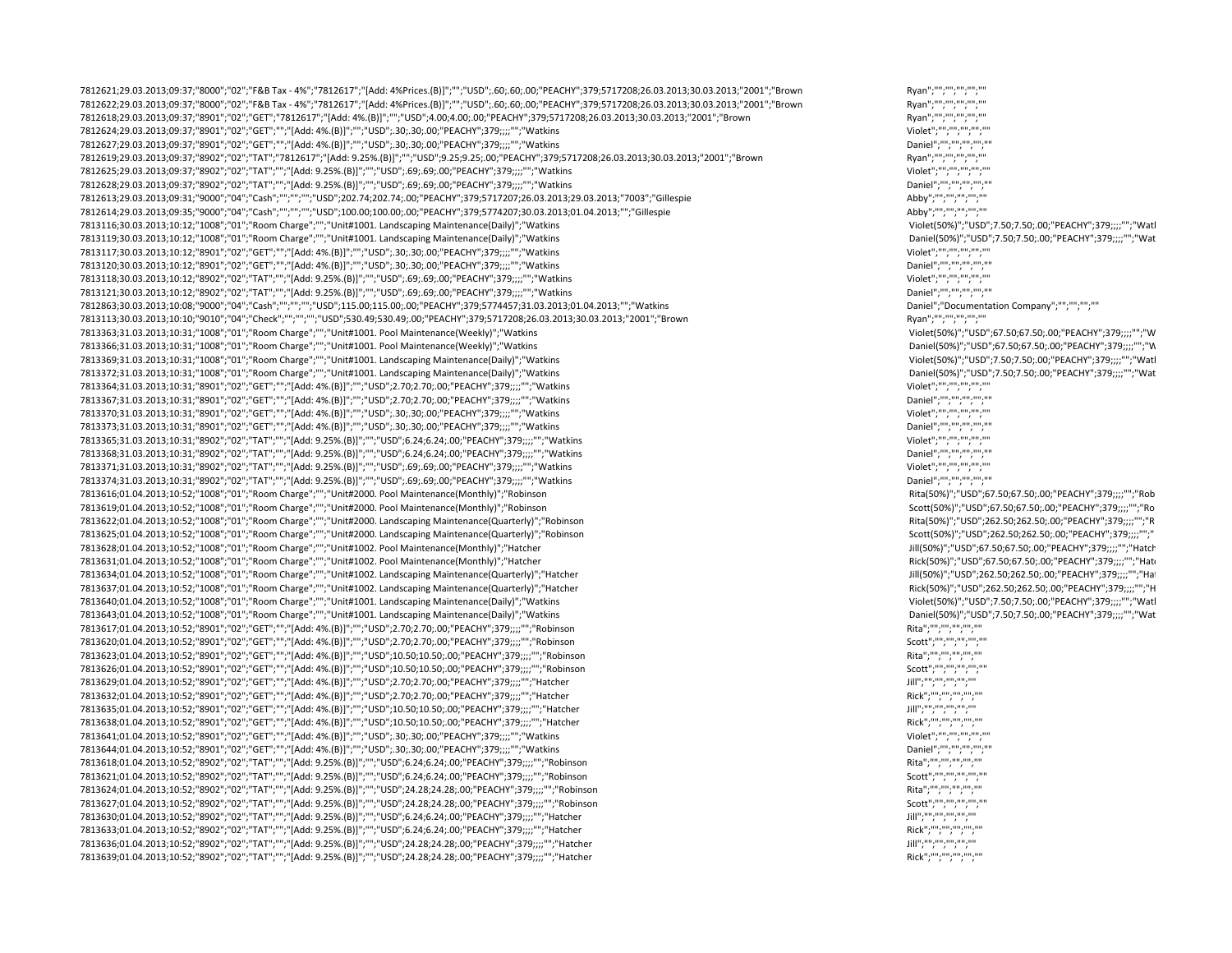7812621;29.03.2013;09:37;"8000";"02";"F&B Tax ‐ 4%";"7812617";"[Add: 4%Prices.(B)]";"";"USD";.60;.60;.00;"PEACHY";379;5717208;26.03.2013;30.03.2013;"2001";"Brown Ryan";"";"";"";"";"" 7812622;29.03.2013;09:37;"8000";"02";"F&B Tax - 4%";"7812617";"[Add: 4%Prices.(B)]";"";"USD";.60;.60;.00;"PEACHY";379;5717208;26.03.2013;30.03.2013;"2001";"Brown 7812618;29.03.2013;09:37;"8901";"02";"GET";"7812617";"[Add: 4%.(B)]";"";"USD";4.00;4.00;.00;"PEACHY";379;5717208;26.03.2013;30.03.2013;"2001";"Brown Ryan";"";"";"";"";"" 7812624;29.03.2013;09:37;"8901";"02";"GET";"";"[Add: 4%.(B)]";"";"USD";.30;.30;.00;"PEACHY";379;;;;"";"Watkins Violet";"";"";"";"";"" 7812627;29.03.2013;09:37;"8901";"02";"GET";"";"[Add: 4%.(B)]";"";"USD";.30;.30;.00;"PEACHY";379;;;;"";"";Watkins<br>7812619;29.03.2013;09:37;"8902";"02";"TAT";"7812617";"[Add: 9.25%.(B)]";"";"USD";9.25;9.25;.00;"PEACHY";379; 7812619;29.03.2013;09:37;"8902";"02";"TAT";"7812617";"[Add: 9.25%.(B)]";"";"USD";9.25;9.25;9.25;0.0;"PEACHY";379;5717208;26.03.2013;30.03.2013;"2001";"Brown 7812625;29.03.2013;09:37;"8902";"02";"TAT";"";"[Add: 9.25%.(B)]";"";"USD";.69;.69;.00;"PEACHY";379;;;;"";"Watkins Violet";"";"";"";"";"" 7812628;29.03.2013;09:37;"8902";"02";"TAT";"";"[Add: 9.25%.(B)]";"";"USD";.69;.69;.00;"PEACHY";379;;;;"";"Watkins Daniel";"";"";"";"";"" 7812613;29.03.2013;09:31;"9000";"04";"Cash";"";"";"";"USD";202.74;202.74;.00;"PEACHY";379;5717207;26.03.2013;29.03.2013;"7003";"Gillespie Abby";"";"";"";"";"" 7812614;29.03.2013;09:35;"9000";"04";"Cash";"";"";"";"USD";100.00;100.00;.00;"PEACHY";379;5774207;30.03.2013;01.04.2013;"";"Gillespie Abby";"";"";"";"";"" 7813116;30.03.2013;10:12;"1008";"01";"Room Charge";"";"Unit#1001. Landscaping Maintenance(Daily)";"Watkins Violet(50%)";"USD";7.50;7.50;.00;"PEACHY";379;;;;"";"Watk 7813119;30.03.2013;10:12;"1008";"01";"Room Charge";"";"Unit#1001. Landscaping Maintenance(Daily)";"Watkins Daniel(50%)";"USD";7.50;7.50;.00;"PEACHY";379;;;;"";"Wat  $7813117;30.03.2013;10:12; "8901"; "O2"; "GET"; "", "[Add: 4\%([6]]"; ";; "USD";.30; .30; .00;"PEACHY";379;;;;"";\forall \text{Watkins} \nonumber \hspace*{0.3cm} \hspace*{0.3cm} \hspace*{0.3cm} \hspace*{0.3cm} \hspace*{0.3cm} \hspace*{0.3cm} \hspace*{0.3cm} \hspace*{0.3cm} \hspace*{0.3cm} \hspace*{0.3cm} \hspace*{0.3cm} \hspace*{0.3cm} \hspace*{0.3$ 7813120;30.03.2013;10:12;"8901";"02";"GET";"";"[Add: 4%.(B)]";"";"USD";.30;.30;.00;"PEACHY";379;;;;"";"Watkins Daniel";"";"";"";"";"" 7813118;30.03.2013;10:12;"8902";"02";"TAT";"";"[Add: 9.25%.(B)]";"";"USD";.69;.69;.00;"PEACHY";379;;;;"";"Watkins Violet";"";"";"";"";"" 7813121;30.03.2013;10:12;"8902";"02";"TAT";"";"[Add: 9.25%.(B)]";"";"USD";.69;.69;.00;"PEACHY";379;;;;"";"Watkins Daniel";"";"";"";"";"" 7812863;30.03.2013;10:08;"9000";"04";"Cash";"";"";"";"USD";115.00;115.00;.00;"PEACHY";379;5774457;31.03.2013;01.04.2013;"";"Watkins Daniel";"Documentation Company";"";"";"";"" 7813113;30.03.2013;10:10;"9010";"04";"Check";"";"";"";"USD";530.49;530.49;.00;"PEACHY";379;5717208;26.03.2013;30.03.2013;"2001";"Brown Ryan";"";"";"";"";"" 7813363;31.03.2013;10:31;"1008";"01";"Room Charge";"";"Unit#1001. Pool Maintenance(Weekly)";"Watkins Violet(50%)";"USD";67.50;67.50;.00;"PEACHY";379;;;;"";"W 7813366;31.03.2013;10:31;"1008";"01";"Room Charge";"";"Unit#1001. Pool Maintenance(Weekly)";"Watkins Daniel(50%)";"USD";67.50;67.50;.00;"PEACHY";379;;;;"";"W 7813369;31.03.2013;10:31;"1008";"01";"Room Charge";"";"Unit#1001. Landscaping Maintenance(Daily)";"Watkins Violet(50%)";"USD";7.50;7.50;.00;"PEACHY";379;;;;"";"Watk 7813372;31.03.2013;10:31;"1008";"01";"Room Charge";"";"Unit#1001. Landscaping Maintenance(Daily)";"Watkins Daniel Daniel(50%)";"USD";7.50;7.50;7.50;7.50;7.90;"PEACHY";379;;;;"";","",""\"Bad: 4%.(B)]";"";"USD";2.70;2.70;.00 7813364;31.03.2013;10:31;"8901";"02";"GET";"";"[Add: 4%.(B)]";"";"USD";2.70;2.70;.00;"PEACHY";379;;;;"";"Watkins 7813367;31.03.2013;10:31;"8901";"02";"GET";"";"[Add: 4%.(B)]";"";"USD";2.70;2.70;.00;"PEACHY";379;;;;"";"Watkins Daniel";"";"";"";"";"" 7813370;31.03.2013;10:31;"8901";"02";"GET";"";"[Add: 4%.(B)]";"";"USD";.30;.30;.00;"PEACHY";379;;;;"";"Watkins Violet";"";"";"";"";"" 7813373;31.03.2013;10:31;"8901";"02";"GET";"";"[Add: 4%.(B)]";"";"USD";.30;.30;.00;"PEACHY";379;;;;"";"Watkins Daniel";"";"";"";"";"" 7813365;31.03.2013;10:31;"8902";"02";"TAT";"";"[Add: 9.25%.(B)]";"";"USD";6.24;6.24;.00;"PEACHY";379;;;;"";"Watkins Violet";"";"";"";"";"" 7813368;31.03.2013;10:31;"8902";"02";"TAT";"";"[Add: 9.25%.(B)]";"";"USD";6.24;6.24;.00;"PEACHY";379;;;;"";"Watkins Daniel";"";"";"";"";"" 7813371;31.03.2013;10:31;"8902";"02";"TAT";"";"[Add: 9.25%.(B)]";"";"USD";.69;.69;.00;"PEACHY";379;;;;"";"Watkins Violet";"";"";"";"";"" 7813374;31.03.2013;10:31;"8902";"02";"TAT";"";"[Add: 9.25%.(B)]";"";"USD";.69;.69;.00;"PEACHY";379;;;;"";"Watkins Daniel";"";"";"";"";"" 7813616;01.04.2013;10:52;"1008";"01";"Room Charge";"";"Unit#2000. Pool Maintenance(Monthly)";"Robinson Rita(50%)";"USD";67.50;67.50;.00;"PEACHY";379;;;;"";"Rob 7813619;01.04.2013;10:52;"1008";"01";"Room Charge";"";"Unit#2000. Pool Maintenance(Monthly)";"Robinson Scott(50%)";"USD";67.50;67.50;.00;"PEACHY";379;;;;"";"Ro 7813622;01.04.2013;10:52;"1008";"01";"Room Charge";"";"Unit#2000. Landscaping Maintenance(Quarterly)";"Robinson Rita(50%)";"USD";262.50;262.50;.00;"PEACHY";379;;;;"";"R 7813625;01.04.2013;10:52;"1008";"01";"Room Charge";"";"Unit#2000. Landscaping Maintenance(Quarterly)";"Robinson Scott(50%)";"USD";262.50;262.50;.00;"PEACHY";379;;;;"";" 7813628;01.04.2013;10:52;"1008";"01";"Room Charge";"";"Unit#1002. Pool Maintenance(Monthly)";"Hatcher Jill(50%)";"USD";67.50;67.50;.00;"PEACHY";379;;;;"";"Hatch 7813631;01.04.2013;10:52;"1008";"01";"Room Charge";"";"Unit#1002. Pool Maintenance(Monthly)";"Hatcher Rick(50%)";"USD";67.50;67.50;.00;"PEACHY";379;;;;"";"Hatc 7813634;01.04.2013;10:52;"1008";"01";"Room Charge";"";"Unit#1002. Landscaping Maintenance(Quarterly)";"Hatcher Jill(50%) and Sample and Sample and Sample and Sample and Sample and Sample and Sample and Sample and Sample an 7813637;01.04.2013;10:52;"1008";"01";"Room Charge";"";"Unit#1002. Landscaping Maintenance(Quarterly)";"Hatcher Rick(50%)";"USD";262.50;262.50;.00;"PEACHY";379;;;;"";"H 7813640;01.04.2013;10:52;"1008";"01";"Room Charge";"";"Unit#1001. Landscaping Maintenance(Daily)";"Watkins Violet(50%)";"USD";7.50;7.50;.00;"PEACHY";379;;;;"";"Watk 7813643;01.04.2013;10:52;"1008";"01";"Room Charge";"";"Unit#1001. Landscaping Maintenance(Daily)";"Watkins Daniel(50%)";"USD";7.50;7.50;.00;"PEACHY";379;;;;"";"Wat 7813617;01.04.2013;10:52;"8901";"02";"GET";"";"[Add: 4%.(B)]";"";"USD";2.70;2.70;.00;"PEACHY";379;;;;"";"Robinson Rita";"";"";"";"";"" 7813620;01.04.2013;10:52;"8901";"02";"GET";"";"[Add: 4%.(B)]";"";"USD";2.70;2.70;.00;"PEACHY";379;;;;"";"Robinson Scott";"";"";"";"";"" 7813623;01.04.2013;10:52;"8901";"02";"GET";"";"[Add: 4%.(B)]";"";"USD";10.50;10.50;.00;"PEACHY";379;;;;"";"Robinson Rita";"";"";"";"";"" 7813626;01.04.2013;10:52;"8901";"02";"GET";"";"[Add: 4%.(B)]";"";"USD";10.50;10.50;.00;"PEACHY";379;;;;"";"Robinson 7813629;01.04.2013;10:52;"8901";"02";"GET";"";"[Add: 4%.(B)]";"";"USD";2.70;2.70;.00;"PEACHY";379;;;;"";"Hatcher Jill";"";"";"";"";"" 7813632;01.04.2013;10:52;"8901";"02";"GET";"";"[Add: 4%.(B)]";"";"USD";2.70;2.70;.00;"PEACHY";379;;;;"";"Hatcher Rick";"";"";"";"";"" 7813635;01.04.2013;10:52;"8901";"02";"GET";"";"[Add: 4%.(B)]";"";"USD";10.50;10.50;.00;"PEACHY";379;;;;"";"Hatcher Jill";"";"";"";"";"" 7813638;01.04.2013;10:52;"8901";"02";"GET";"";"[Add: 4%.(B)]";"";"USD";10.50;10.50;.00;"PEACHY";379;;;;"";"Hatcher Rick";"";"";"";"";"" 7813641;01.04.2013;10:52;"8901";"02";"GET";"";"[Add: 4%.(B)]";"";"USD";.30;.30;.00;"PEACHY";379;;;;"";"Watkins Violet";"";"";"";"";"" 7813644;01.04.2013;10:52;"8901";"02";"GET";"";"[Add: 4%.(B)]";"";"USD";.30;.30;.00;"PEACHY";379;;;;"";"Watkins Daniel";"";"";"";"";"" 7813618;01.04.2013;10:52;"8902";"02";"TAT";"";"[Add: 9.25%.(B)]";"";"USD";6.24;6.24;.00;"PEACHY";379;;;;"";"Robinson Rita";"";"";"";"";"" 7813621;01.04.2013;10:52;"8902";"02";"TAT";"";"[Add: 9.25%.(B)]";"";"USD";6.24;6.24;.00;"PEACHY";379;;;;"";"Robinson Scott";"";"";"";"";"" 7813624;01.04.2013;10:52;"8902";"02";"TAT";"";"[Add: 9.25%.(B)]";"";"USD";24.28;24.28;.00;"PEACHY";379;;;;"";"Robinson Rita";"";"";"";"";"" 7813627;01.04.2013;10:52;"8902";"02";"TAT";"";"[Add: 9.25%.(B)]";"";"USD";24.28;24.28;.00;"PEACHY";379;;;;"";"Robinson Scott";"";"";"";"";"" 7813630;01.04.2013;10:52;"8902";"02";"TAT";"";"[Add: 9.25%.[8]]";"";"USD";6.24;6.24;.00;"PEACHY";379;;;;"";"Hatcher<br>7813633;01.04.2013;10:52;"8902";"02";"TAT";"";"[Add: 9.25%.[8]]";"";"USD";6.24;6.24;.00;"PEACHY";379;;;;" 7813633;01.04.2013;10:52;"8902";"02";"TAT";"";"[Add: 9.25%.(B)]";"";"USD";6.24;6.24;.00;"PEACHY";379;;;;"";"Hatcher Rick";"";"";"";"";"" 7813636;01.04.2013;10:52;"8902";"02";"TAT";"";"[Add: 9.25%.(B)]";"";"USD";24.28;24.28;.00;"PEACHY";379;;;;"";"|"Hatcher<br>7813639:01.04.2013:10:52:"8902":"02":"TAT":"":"[Add: 9.25%.(B)]":"":"USD":24.28:24.28:.00:"PFACHY":37 7813639;01.04.2013;10:52;"8902";"02";"TAT";"";"[Add: 9.25%.(B)]";"";"USD";24.28;24.28;.00;"PEACHY";379;;;;"";"Hatcher Rick";"";"";"";"";""